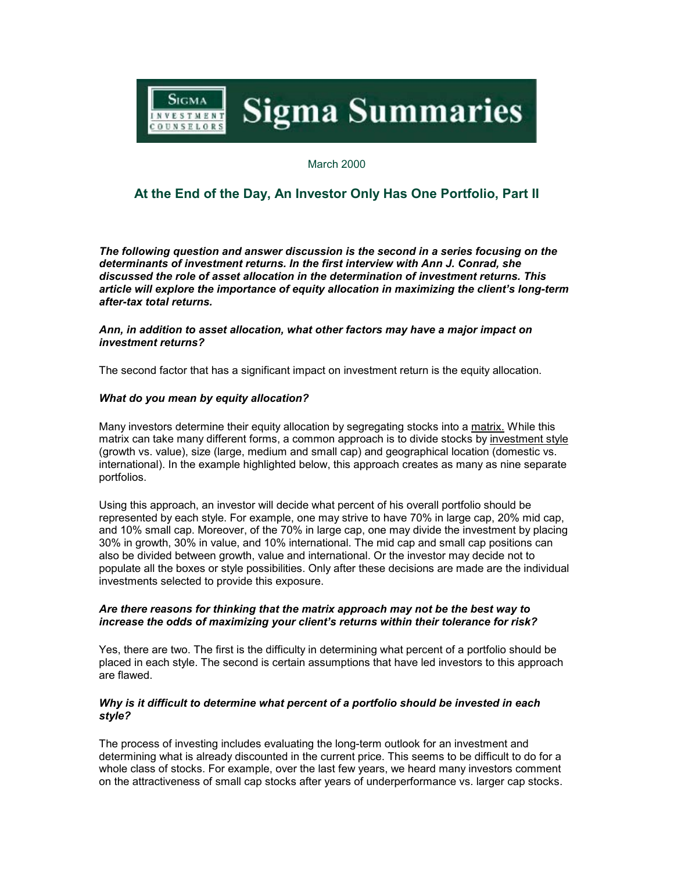

March 2000

# **At the End of the Day, An Investor Only Has One Portfolio, Part II**

*The following question and answer discussion is the second in a series focusing on the determinants of investment returns. In the first interview with Ann J. Conrad, she discussed the role of asset allocation in the determination of investment returns. This article will explore the importance of equity allocation in maximizing the client's long-term after-tax total returns.*

*Ann, in addition to asset allocation, what other factors may have a major impact on investment returns?*

The second factor that has a significant impact on investment return is the equity allocation.

## *What do you mean by equity allocation?*

Many investors determine their equity allocation by segregating stocks into a matrix. While this matrix can take many different forms, a common approach is to divide stocks by investment style (growth vs. value), size (large, medium and small cap) and geographical location (domestic vs. international). In the example highlighted below, this approach creates as many as nine separate portfolios.

Using this approach, an investor will decide what percent of his overall portfolio should be represented by each style. For example, one may strive to have 70% in large cap, 20% mid cap, and 10% small cap. Moreover, of the 70% in large cap, one may divide the investment by placing 30% in growth, 30% in value, and 10% international. The mid cap and small cap positions can also be divided between growth, value and international. Or the investor may decide not to populate all the boxes or style possibilities. Only after these decisions are made are the individual investments selected to provide this exposure.

#### *Are there reasons for thinking that the matrix approach may not be the best way to increase the odds of maximizing your client's returns within their tolerance for risk?*

Yes, there are two. The first is the difficulty in determining what percent of a portfolio should be placed in each style. The second is certain assumptions that have led investors to this approach are flawed.

#### *Why is it difficult to determine what percent of a portfolio should be invested in each style?*

The process of investing includes evaluating the long-term outlook for an investment and determining what is already discounted in the current price. This seems to be difficult to do for a whole class of stocks. For example, over the last few years, we heard many investors comment on the attractiveness of small cap stocks after years of underperformance vs. larger cap stocks.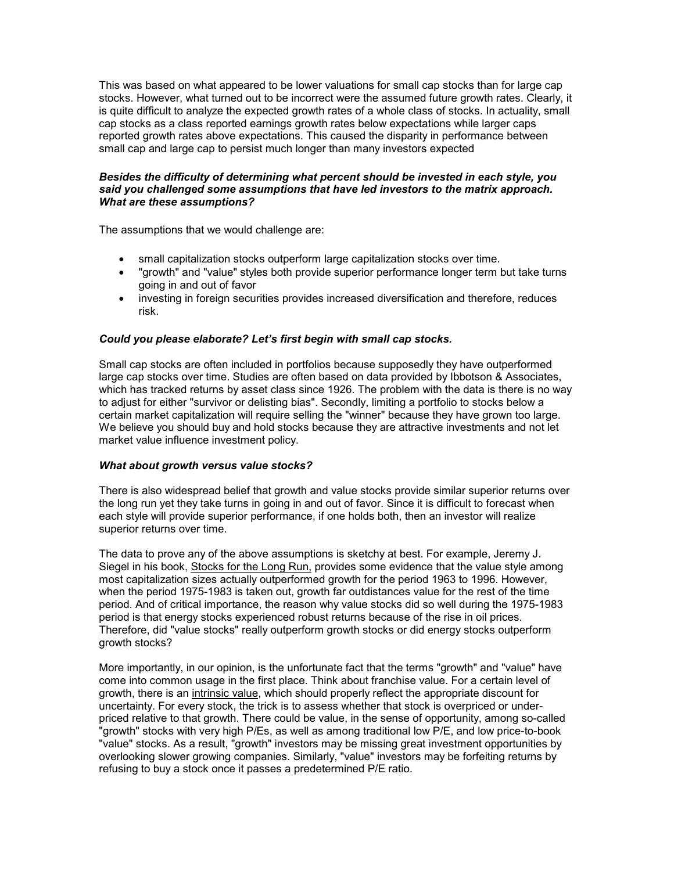This was based on what appeared to be lower valuations for small cap stocks than for large cap stocks. However, what turned out to be incorrect were the assumed future growth rates. Clearly, it is quite difficult to analyze the expected growth rates of a whole class of stocks. In actuality, small cap stocks as a class reported earnings growth rates below expectations while larger caps reported growth rates above expectations. This caused the disparity in performance between small cap and large cap to persist much longer than many investors expected

## *Besides the difficulty of determining what percent should be invested in each style, you said you challenged some assumptions that have led investors to the matrix approach. What are these assumptions?*

The assumptions that we would challenge are:

- small capitalization stocks outperform large capitalization stocks over time.
- "growth" and "value" styles both provide superior performance longer term but take turns going in and out of favor
- investing in foreign securities provides increased diversification and therefore, reduces risk.

# *Could you please elaborate? Let's first begin with small cap stocks.*

Small cap stocks are often included in portfolios because supposedly they have outperformed large cap stocks over time. Studies are often based on data provided by Ibbotson & Associates, which has tracked returns by asset class since 1926. The problem with the data is there is no way to adjust for either "survivor or delisting bias". Secondly, limiting a portfolio to stocks below a certain market capitalization will require selling the "winner" because they have grown too large. We believe you should buy and hold stocks because they are attractive investments and not let market value influence investment policy.

## *What about growth versus value stocks?*

There is also widespread belief that growth and value stocks provide similar superior returns over the long run yet they take turns in going in and out of favor. Since it is difficult to forecast when each style will provide superior performance, if one holds both, then an investor will realize superior returns over time.

The data to prove any of the above assumptions is sketchy at best. For example, Jeremy J. Siegel in his book, Stocks for the Long Run, provides some evidence that the value style among most capitalization sizes actually outperformed growth for the period 1963 to 1996. However, when the period 1975-1983 is taken out, growth far outdistances value for the rest of the time period. And of critical importance, the reason why value stocks did so well during the 1975-1983 period is that energy stocks experienced robust returns because of the rise in oil prices. Therefore, did "value stocks" really outperform growth stocks or did energy stocks outperform growth stocks?

More importantly, in our opinion, is the unfortunate fact that the terms "growth" and "value" have come into common usage in the first place. Think about franchise value. For a certain level of growth, there is an intrinsic value, which should properly reflect the appropriate discount for uncertainty. For every stock, the trick is to assess whether that stock is overpriced or underpriced relative to that growth. There could be value, in the sense of opportunity, among so-called "growth" stocks with very high P/Es, as well as among traditional low P/E, and low price-to-book "value" stocks. As a result, "growth" investors may be missing great investment opportunities by overlooking slower growing companies. Similarly, "value" investors may be forfeiting returns by refusing to buy a stock once it passes a predetermined P/E ratio.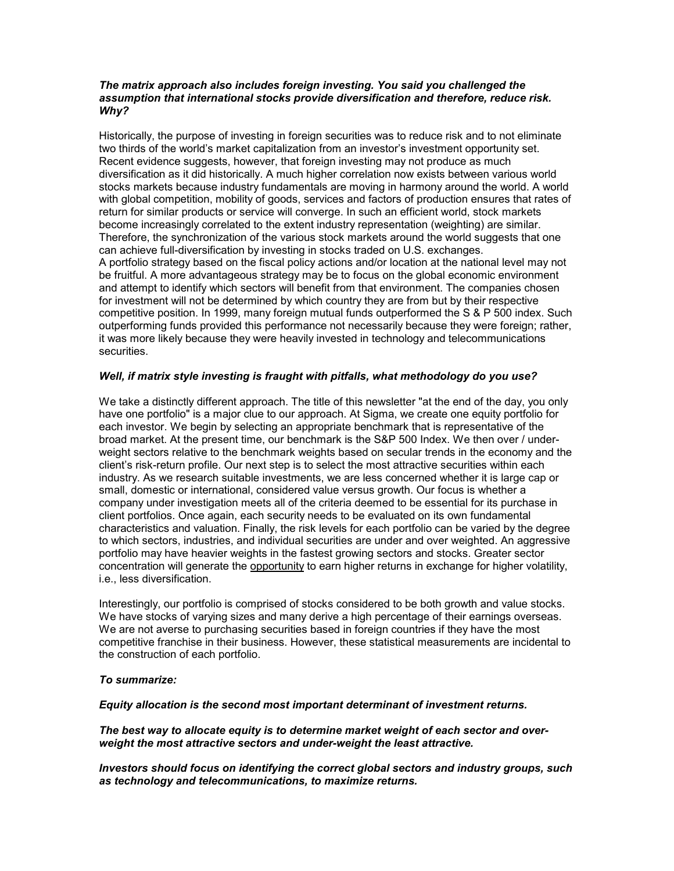### *The matrix approach also includes foreign investing. You said you challenged the assumption that international stocks provide diversification and therefore, reduce risk. Why?*

Historically, the purpose of investing in foreign securities was to reduce risk and to not eliminate two thirds of the world's market capitalization from an investor's investment opportunity set. Recent evidence suggests, however, that foreign investing may not produce as much diversification as it did historically. A much higher correlation now exists between various world stocks markets because industry fundamentals are moving in harmony around the world. A world with global competition, mobility of goods, services and factors of production ensures that rates of return for similar products or service will converge. In such an efficient world, stock markets become increasingly correlated to the extent industry representation (weighting) are similar. Therefore, the synchronization of the various stock markets around the world suggests that one can achieve full-diversification by investing in stocks traded on U.S. exchanges. A portfolio strategy based on the fiscal policy actions and/or location at the national level may not be fruitful. A more advantageous strategy may be to focus on the global economic environment and attempt to identify which sectors will benefit from that environment. The companies chosen for investment will not be determined by which country they are from but by their respective competitive position. In 1999, many foreign mutual funds outperformed the S & P 500 index. Such outperforming funds provided this performance not necessarily because they were foreign; rather, it was more likely because they were heavily invested in technology and telecommunications securities.

# *Well, if matrix style investing is fraught with pitfalls, what methodology do you use?*

We take a distinctly different approach. The title of this newsletter "at the end of the day, you only have one portfolio" is a major clue to our approach. At Sigma, we create one equity portfolio for each investor. We begin by selecting an appropriate benchmark that is representative of the broad market. At the present time, our benchmark is the S&P 500 Index. We then over / underweight sectors relative to the benchmark weights based on secular trends in the economy and the client's risk-return profile. Our next step is to select the most attractive securities within each industry. As we research suitable investments, we are less concerned whether it is large cap or small, domestic or international, considered value versus growth. Our focus is whether a company under investigation meets all of the criteria deemed to be essential for its purchase in client portfolios. Once again, each security needs to be evaluated on its own fundamental characteristics and valuation. Finally, the risk levels for each portfolio can be varied by the degree to which sectors, industries, and individual securities are under and over weighted. An aggressive portfolio may have heavier weights in the fastest growing sectors and stocks. Greater sector concentration will generate the opportunity to earn higher returns in exchange for higher volatility, i.e., less diversification.

Interestingly, our portfolio is comprised of stocks considered to be both growth and value stocks. We have stocks of varying sizes and many derive a high percentage of their earnings overseas. We are not averse to purchasing securities based in foreign countries if they have the most competitive franchise in their business. However, these statistical measurements are incidental to the construction of each portfolio.

## *To summarize:*

## *Equity allocation is the second most important determinant of investment returns.*

*The best way to allocate equity is to determine market weight of each sector and overweight the most attractive sectors and under-weight the least attractive.* 

*Investors should focus on identifying the correct global sectors and industry groups, such as technology and telecommunications, to maximize returns.*